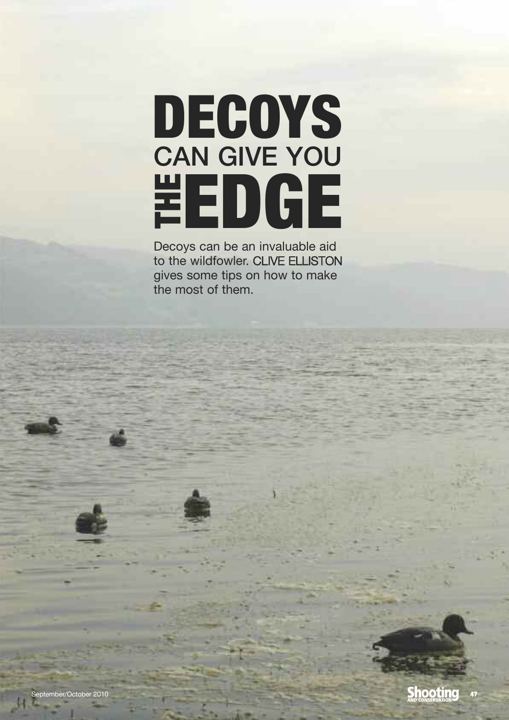## DECOYS eDGe can give you t h  $\bf \mathbf{u}$

Decoys can be an invaluable aid to the wildfowler. CLIVE ELLISTON gives some tips on how to make the most of them.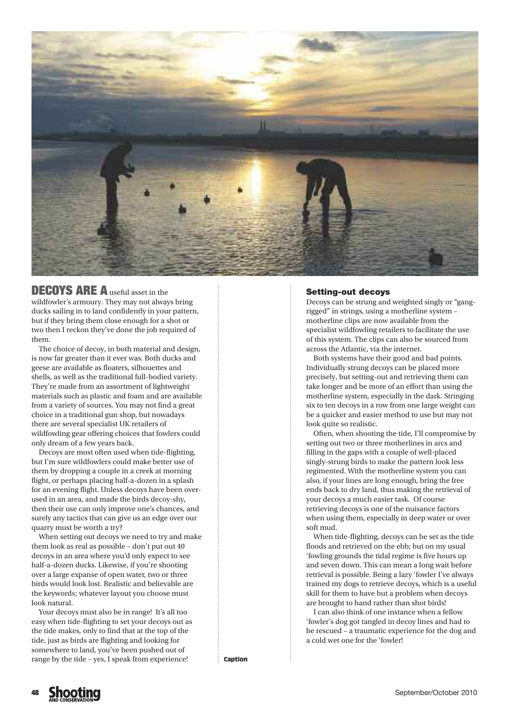

**DECOYS ARE A** useful asset in the wildfowler's armoury. They may not always bring ducks sailing in to land confidently in your pattern, but if they bring them close enough for a shot or two then I reckon they've done the job required of them.

The choice of decoy, in both material and design, is now far greater than it ever was. Both ducks and geese are available as floaters, silhouettes and shells, as well as the traditional full-bodied variety. They're made from an assortment of lightweight materials such as plastic and foam and are available from a variety of sources. You may not find a great choice in a traditional gun shop, but nowadays there are several specialist UK retailers of wildfowling gear offering choices that fowlers could only dream of a few years back.

Decoys are most often used when tide-flighting, but I'm sure wildfowlers could make better use of them by dropping a couple in a creek at morning flight, or perhaps placing half-a-dozen in a splash for an evening flight. Unless decoys have been overused in an area, and made the birds decoy-shy, then their use can only improve one's chances, and surely any tactics that can give us an edge over our quarry must be worth a try?

When setting out decoys we need to try and make them look as real as possible – don't put out 40 decoys in an area where you'd only expect to see half-a-dozen ducks. Likewise, if you're shooting over a large expanse of open water, two or three birds would look lost. Realistic and believable are the keywords; whatever layout you choose must look natural.

Your decoys must also be in range! It's all too easy when tide-flighting to set your decoys out as the tide makes, only to find that at the top of the tide, just as birds are flighting and looking for somewhere to land, you've been pushed out of range by the tide – yes, I speak from experience!

## Setting-out decoys

Decoys can be strung and weighted singly or "gangrigged" in strings, using a motherline system – motherline clips are now available from the specialist wildfowling retailers to facilitate the use of this system. The clips can also be sourced from across the Atlantic, via the internet.

Both systems have their good and bad points. Individually strung decoys can be placed more precisely, but setting-out and retrieving them can take longer and be more of an effort than using the motherline system, especially in the dark. Stringing six to ten decoys in a row from one large weight can be a quicker and easier method to use but may not look quite so realistic.

Often, when shooting the tide, I'll compromise by setting out two or three motherlines in arcs and filling in the gaps with a couple of well-placed singly-strung birds to make the pattern look less regimented. With the motherline system you can also, if your lines are long enough, bring the free ends back to dry land, thus making the retrieval of your decoys a much easier task. Of course retrieving decoys is one of the nuisance factors when using them, especially in deep water or over soft mud.

When tide-flighting, decoys can be set as the tide floods and retrieved on the ebb; but on my usual 'fowling grounds the tidal regime is five hours up and seven down. This can mean a long wait before retrieval is possible. Being a lazy 'fowler I've always trained my dogs to retrieve decoys, which is a useful skill for them to have but a problem when decoys are brought to hand rather than shot birds!

I can also think of one instance when a fellow 'fowler's dog got tangled in decoy lines and had to be rescued – a traumatic experience for the dog and a cold wet one for the 'fowler!

**Caption**